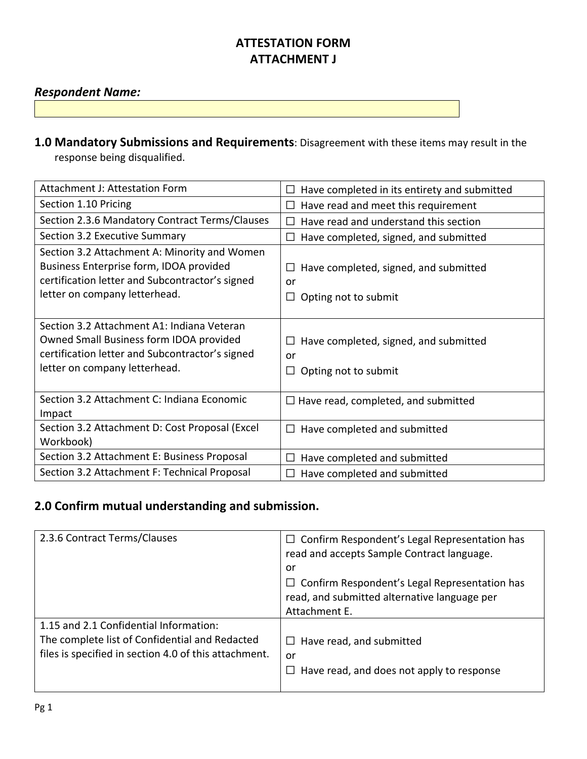# **ATTESTATION FORM ATTACHMENT J**

# *Respondent Name:*

#### **1.0 Mandatory Submissions and Requirements**: Disagreement with these items may result in the response being disqualified.

| <b>Attachment J: Attestation Form</b>                                                                                                                                       | Have completed in its entirety and submitted<br>ΙI                                 |
|-----------------------------------------------------------------------------------------------------------------------------------------------------------------------------|------------------------------------------------------------------------------------|
| Section 1.10 Pricing                                                                                                                                                        | Have read and meet this requirement<br>ΙI                                          |
| Section 2.3.6 Mandatory Contract Terms/Clauses                                                                                                                              | Have read and understand this section<br>ΙI                                        |
| Section 3.2 Executive Summary                                                                                                                                               | Have completed, signed, and submitted<br>$\perp$                                   |
| Section 3.2 Attachment A: Minority and Women<br>Business Enterprise form, IDOA provided<br>certification letter and Subcontractor's signed<br>letter on company letterhead. | Have completed, signed, and submitted<br>└<br>or<br>Opting not to submit<br>$\Box$ |
| Section 3.2 Attachment A1: Indiana Veteran<br>Owned Small Business form IDOA provided<br>certification letter and Subcontractor's signed<br>letter on company letterhead.   | Have completed, signed, and submitted<br>ப<br>or<br>Opting not to submit<br>⊔      |
| Section 3.2 Attachment C: Indiana Economic<br>Impact                                                                                                                        | $\Box$ Have read, completed, and submitted                                         |
| Section 3.2 Attachment D: Cost Proposal (Excel<br>Workbook)                                                                                                                 | Have completed and submitted<br>⊔                                                  |
| Section 3.2 Attachment E: Business Proposal                                                                                                                                 | Have completed and submitted<br>$\perp$                                            |
| Section 3.2 Attachment F: Technical Proposal                                                                                                                                | Have completed and submitted<br>$\perp$                                            |

# **2.0 Confirm mutual understanding and submission.**

| 2.3.6 Contract Terms/Clauses                                                                                                                      | $\Box$ Confirm Respondent's Legal Representation has<br>read and accepts Sample Contract language.<br>or              |
|---------------------------------------------------------------------------------------------------------------------------------------------------|-----------------------------------------------------------------------------------------------------------------------|
|                                                                                                                                                   | $\Box$ Confirm Respondent's Legal Representation has<br>read, and submitted alternative language per<br>Attachment E. |
| 1.15 and 2.1 Confidential Information:<br>The complete list of Confidential and Redacted<br>files is specified in section 4.0 of this attachment. | $\Box$ Have read, and submitted<br>or<br>$\Box$ Have read, and does not apply to response                             |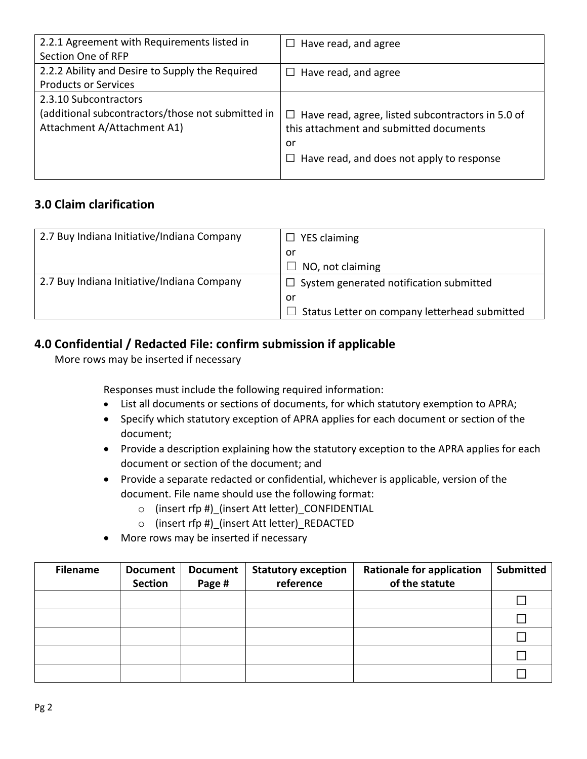| 2.2.1 Agreement with Requirements listed in<br>Section One of RFP                                         | $\Box$ Have read, and agree                                                                                                                                   |
|-----------------------------------------------------------------------------------------------------------|---------------------------------------------------------------------------------------------------------------------------------------------------------------|
| 2.2.2 Ability and Desire to Supply the Required<br><b>Products or Services</b>                            | $\Box$ Have read, and agree                                                                                                                                   |
| 2.3.10 Subcontractors<br>(additional subcontractors/those not submitted in<br>Attachment A/Attachment A1) | $\Box$ Have read, agree, listed subcontractors in 5.0 of<br>this attachment and submitted documents<br>or<br>$\Box$ Have read, and does not apply to response |

#### **3.0 Claim clarification**

| 2.7 Buy Indiana Initiative/Indiana Company | $\Box$ YES claiming                            |
|--------------------------------------------|------------------------------------------------|
|                                            | or                                             |
|                                            | NO, not claiming                               |
| 2.7 Buy Indiana Initiative/Indiana Company | $\Box$ System generated notification submitted |
|                                            | or                                             |
|                                            | Status Letter on company letterhead submitted  |

#### **4.0 Confidential / Redacted File: confirm submission if applicable**

More rows may be inserted if necessary

Responses must include the following required information:

- List all documents or sections of documents, for which statutory exemption to APRA;
- Specify which statutory exception of APRA applies for each document or section of the document;
- Provide a description explaining how the statutory exception to the APRA applies for each document or section of the document; and
- Provide a separate redacted or confidential, whichever is applicable, version of the document. File name should use the following format:
	- o (insert rfp #)\_(insert Att letter)\_CONFIDENTIAL
	- o (insert rfp #)\_(insert Att letter)\_REDACTED
- More rows may be inserted if necessary

| <b>Filename</b> | <b>Document</b><br><b>Section</b> | <b>Document</b><br>Page # | <b>Statutory exception</b><br>reference | <b>Rationale for application</b><br>of the statute | <b>Submitted</b> |
|-----------------|-----------------------------------|---------------------------|-----------------------------------------|----------------------------------------------------|------------------|
|                 |                                   |                           |                                         |                                                    |                  |
|                 |                                   |                           |                                         |                                                    |                  |
|                 |                                   |                           |                                         |                                                    |                  |
|                 |                                   |                           |                                         |                                                    |                  |
|                 |                                   |                           |                                         |                                                    |                  |